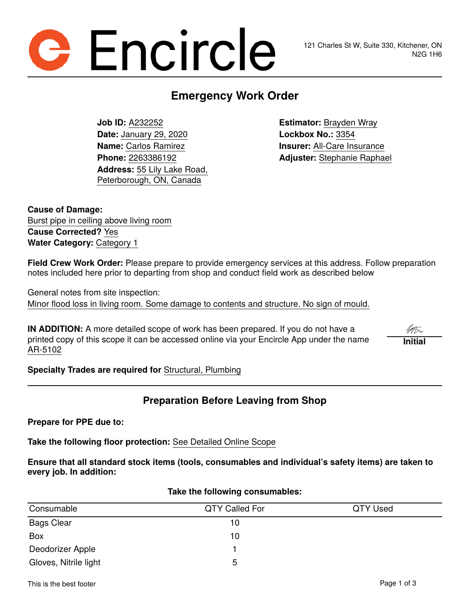# **Encircle**

# **Emergency Work Order**

**Job ID:** A232252 **Estimator:** Brayden Wray **Date:** January 29, 2020 **Lockbox No.:** 3354 **Name:** Carlos Ramirez **Insurer:** All-Care Insurance **Address:** 55 Lily Lake Road, Peterborough, ON, Canada

**Phone:** 2263386192 **Adjuster:** Stephanie Raphael

**Cause of Damage:** Burst pipe in ceiling above living room **Cause Corrected?** Yes **Water Category:** Category 1

**Field Crew Work Order:** Please prepare to provide emergency services at this address. Follow preparation notes included here prior to departing from shop and conduct field work as described below

General notes from site inspection: Minor flood loss in living room. Some damage to contents and structure. No sign of mould.

**IN ADDITION:** A more detailed scope of work has been prepared. If you do not have a printed copy of this scope it can be accessed online via your Encircle App under the name AR-5102

**Initial**

**Specialty Trades are required for** Structural, Plumbing

## **Preparation Before Leaving from Shop**

**Prepare for PPE due to:**

**Take the following floor protection:** See Detailed Online Scope

**Ensure that all standard stock items (tools, consumables and individual's safety items) are taken to every job. In addition:**

# Consumable QTY Called For QTY Used Bags Clear 10 Box the contract of the contract of the contract of the contract of the contract of the contract of the contract of the contract of the contract of the contract of the contract of the contract of the contract of the contra Deodorizer Apple 1 and 1 and 1 and 1 and 1 and 1 and 1 and 1 and 1 and 1 and 1 and 1 and 1 and 1 and 1 and 1 and 1 and 1 and 1 and 1 and 1 and 1 and 1 and 1 and 1 and 1 and 1 and 1 and 1 and 1 and 1 and 1 and 1 and 1 and 1 Gloves, Nitrile light 5

#### **Take the following consumables:**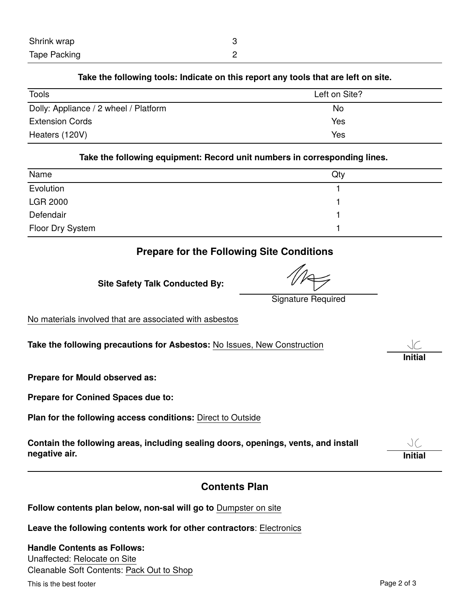#### **Take the following tools: Indicate on this report any tools that are left on site.**

| Tools                                 | Left on Site? |  |
|---------------------------------------|---------------|--|
| Dolly: Appliance / 2 wheel / Platform | No.           |  |
| <b>Extension Cords</b>                | <b>Yes</b>    |  |
| Heaters (120V)                        | Yes           |  |

#### **Take the following equipment: Record unit numbers in corresponding lines.**

| Name             | Qty |  |
|------------------|-----|--|
| Evolution        |     |  |
| <b>LGR 2000</b>  |     |  |
| Defendair        |     |  |
| Floor Dry System |     |  |

## **Prepare for the Following Site Conditions**

**Site Safety Talk Conducted By:**

Signature Required

No materials involved that are associated with asbestos

**Take the following precautions for Asbestos:** No Issues, New Construction

**Prepare for Mould observed as:**

**Prepare for Conined Spaces due to:**

**Plan for the following access conditions:** Direct to Outside

**Contain the following areas, including sealing doors, openings, vents, and install negative air. Initial**

## **Contents Plan**

**Follow contents plan below, non-sal will go to** Dumpster on site

**Leave the following contents work for other contractors**: Electronics

**Handle Contents as Follows:** Unaffected: Relocate on Site Cleanable Soft Contents: Pack Out to Shop

Thisis the best footer **Page 2 of [3](#page-2-0)** and the best footer **Page 2 of 3** 

**Initial**